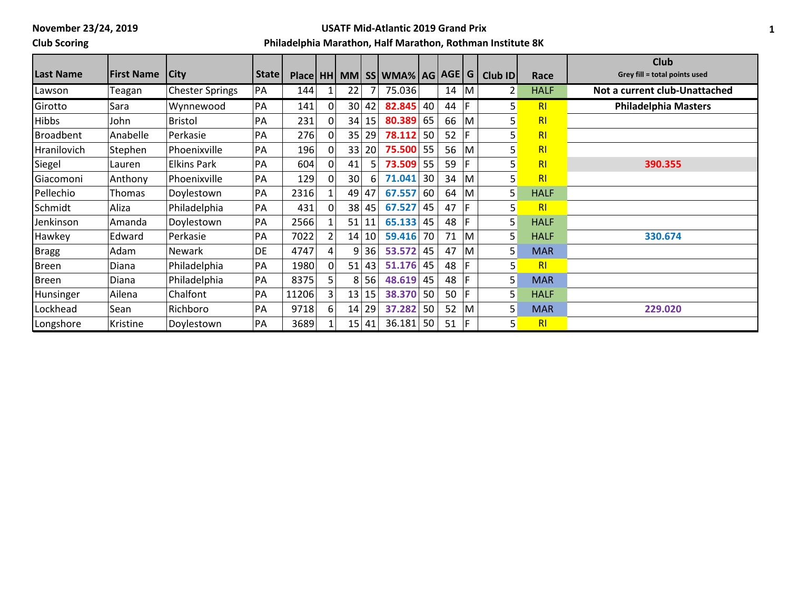## **Club Scoring**

#### **USATF Mid-Atlantic 2019 Grand Prix**

|                    |                   |                        |       |       |                |                 |         |                                            |    |    |     |          |                | <b>Club</b>                   |
|--------------------|-------------------|------------------------|-------|-------|----------------|-----------------|---------|--------------------------------------------|----|----|-----|----------|----------------|-------------------------------|
| Last Name          | <b>First Name</b> | <b>City</b>            | State |       |                |                 |         | Place   HH   MM   SS   WMA%   AG   AGE   G |    |    |     | Club ID  | Race           | Grey fill = total points used |
| Lawson             | Teagan            | <b>Chester Springs</b> | PA    | 144   |                | 22              |         | 75.036                                     |    | 14 | M   | 2        | <b>HALF</b>    | Not a current club-Unattached |
| Girotto            | Sara              | Wynnewood              | PA    | 141   |                |                 | 30 42   | 82.845                                     | 40 | 44 | F   | $5\vert$ | R <sub>l</sub> | <b>Philadelphia Masters</b>   |
| <b>Hibbs</b>       | John              | <b>Bristol</b>         | PA    | 231   |                |                 | 34 15   | 80.389                                     | 65 | 66 | M   | 5        | RI             |                               |
| Broadbent          | Anabelle          | Perkasie               | PA    | 276   |                | 35              | 29      | 78.112                                     | 50 | 52 |     | 5        | RI             |                               |
| <b>Hranilovich</b> | Stephen           | Phoenixville           | PA    | 196   |                |                 | 33 20   | 75.500                                     | 55 | 56 | M   | 5        | RI             |                               |
| Siegel             | Lauren            | <b>Elkins Park</b>     | PA    | 604   |                | 41              | 51      | 73.509                                     | 55 | 59 |     | 5        | RI             | 390.355                       |
| Giacomoni          | Anthony           | Phoenixville           | PA    | 129   |                | 30 <sup>1</sup> | 61      | 71.041                                     | 30 | 34 | lM. | 5        | RI             |                               |
| Pellechio          | Thomas            | Doylestown             | PA    | 2316  |                | 49 47           |         | 67.557                                     | 60 | 64 | M   | 5        | <b>HALF</b>    |                               |
| Schmidt            | Aliza             | Philadelphia           | PA    | 431   |                | 38              | 45      | 67.527                                     | 45 | 47 | F   | 5        | R <sub>l</sub> |                               |
| Jenkinson          | Amanda            | Doylestown             | PA    | 2566  |                | 51              | 11      | 65.133                                     | 45 | 48 | F   | 5        | <b>HALF</b>    |                               |
| Hawkey             | Edward            | Perkasie               | PA    | 7022  | $\overline{2}$ |                 | 14 10   | 59.416                                     | 70 | 71 | lM. | 5        | <b>HALF</b>    | 330.674                       |
| Bragg              | Adam              | Newark                 | DE    | 4747  | 4              | 9               | 36      | 53.572                                     | 45 | 47 | ΙM  | 5        | <b>MAR</b>     |                               |
| Breen              | Diana             | Philadelphia           | PA    | 1980  |                | 51              | 43      | 51.176                                     | 45 | 48 |     | 5        | R <sub>l</sub> |                               |
| Breen              | Diana             | Philadelphia           | PA    | 8375  | 5              | 8               | 56      | 48.619                                     | 45 | 48 | F   | 5        | <b>MAR</b>     |                               |
| Hunsinger          | Ailena            | Chalfont               | PA    | 11206 | 3              |                 | 13 15   | 38.370                                     | 50 | 50 | F   | 5        | <b>HALF</b>    |                               |
| Lockhead           | Sean              | Richboro               | PA    | 9718  | 6              | 14              | 29      | 37.282                                     | 50 | 52 | M   | 5        | <b>MAR</b>     | 229.020                       |
| Longshore          | Kristine          | Doylestown             | PA    | 3689  |                |                 | $15$ 41 | 36.181                                     | 50 | 51 | F   | 5        | R <sub>l</sub> |                               |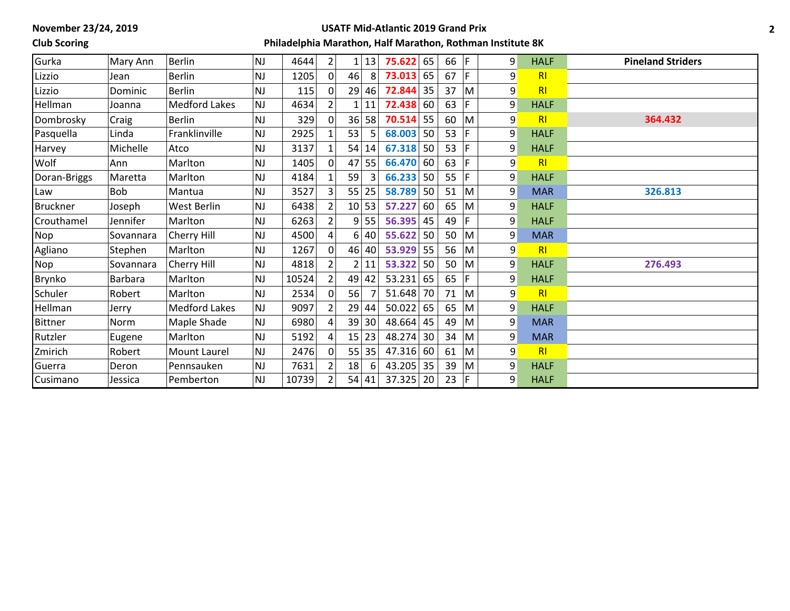## **Club Scoring**

#### **USATF Mid-Atlantic 2019 Grand Prix**

| Gurka           | Mary Ann       | <b>Berlin</b>        | <b>NJ</b>      | 4644  | $\overline{2}$ |                | 13    | 75.622      | 65 | 66 $ F $ |                         | 9 | <b>HALF</b>    | <b>Pineland Striders</b> |
|-----------------|----------------|----------------------|----------------|-------|----------------|----------------|-------|-------------|----|----------|-------------------------|---|----------------|--------------------------|
| Lizzio          | Jean           | <b>Berlin</b>        | NJ             | 1205  | $\Omega$       | 46             | 8     | 73.013      | 65 | 67 $ F $ |                         | 9 | R <sub>l</sub> |                          |
| Lizzio          | Dominic        | <b>Berlin</b>        | <b>NJ</b>      | 115   | $\Omega$       | 29             | 46    | 72.844      | 35 | 37       | lм                      | 9 | R <sub>l</sub> |                          |
| Hellman         | Joanna         | <b>Medford Lakes</b> | <b>NJ</b>      | 4634  |                |                | 11    | 72.438 60   |    | 63       | ١F.                     | 9 | <b>HALF</b>    |                          |
| Dombrosky       | Craig          | <b>Berlin</b>        | NJ             | 329   | 0              | 36             | 58    | 70.514      | 55 | 60       | M                       | 9 | R <sub>l</sub> | 364.432                  |
| Pasquella       | Linda          | Franklinville        | NJ             | 2925  |                | 53             |       | 68.003      | 50 | 53       | l F                     | 9 | <b>HALF</b>    |                          |
| Harvey          | Michelle       | Atco                 | <b>NJ</b>      | 3137  |                | 54             | 14    | $67.318$ 50 |    | 53       | l F                     | 9 | <b>HALF</b>    |                          |
| Wolf            | Ann            | Marlton              | <b>NJ</b>      | 1405  | $\Omega$       | 47             | 55    | 66.470 60   |    | 63       | F                       | 9 | RI             |                          |
| Doran-Briggs    | Maretta        | Marlton              | <b>NJ</b>      | 4184  |                | 59             |       | $66.233$ 50 |    | 55       | F                       | 9 | <b>HALF</b>    |                          |
| Law             | <b>Bob</b>     | Mantua               | <b>NJ</b>      | 3527  | $\overline{3}$ |                | 55 25 | 58.789 50   |    | 51       | $\overline{\mathsf{M}}$ | 9 | <b>MAR</b>     | 326.813                  |
| <b>Bruckner</b> | Joseph         | West Berlin          | NJ             | 6438  |                |                | 10 53 | 57.227      | 60 | 65       | M                       | 9 | <b>HALF</b>    |                          |
| Crouthamel      | Jennifer       | Marlton              | <b>NJ</b>      | 6263  |                | 9              | 55    | $56.395$ 45 |    | 49       | F                       | 9 | <b>HALF</b>    |                          |
| Nop             | Sovannara      | <b>Cherry Hill</b>   | NJ             | 4500  |                | 6 <sup>1</sup> | 40    | 55.622      | 50 | 50       | M                       | 9 | <b>MAR</b>     |                          |
| Agliano         | Stephen        | Marlton              | NJ             | 1267  |                |                | 46 40 | 53.929 55   |    | 56       | M                       | 9 | RI             |                          |
| Nop             | Sovannara      | Cherry Hill          | NJ             | 4818  |                |                | 11    | 53.322   50 |    | 50       | lM.                     | 9 | <b>HALF</b>    | 276.493                  |
| Brynko          | <b>Barbara</b> | Marlton              | <b>NJ</b>      | 10524 |                | 49             | 42    | 53.231      | 65 | 65       | F                       | 9 | <b>HALF</b>    |                          |
| Schuler         | Robert         | Marlton              | NJ             | 2534  |                | 56             |       | $51.648$ 70 |    | 71       | M                       | 9 | RI             |                          |
| Hellman         | Jerry          | <b>Medford Lakes</b> | <b>NJ</b>      | 9097  |                | 29             | 44    | $50.022$ 65 |    | 65       | M                       | 9 | <b>HALF</b>    |                          |
| Bittner         | Norm           | Maple Shade          | NJ             | 6980  |                | 39             | 30    | $48.664$ 45 |    | 49       | M                       | 9 | <b>MAR</b>     |                          |
| Rutzler         | Eugene         | Marlton              | <b>NJ</b>      | 5192  |                |                | 15 23 | 48.274 30   |    | 34       | M                       | 9 | <b>MAR</b>     |                          |
| Zmirich         | Robert         | Mount Laurel         | NJ             | 2476  | $\Omega$       | 55             | 35    | 47.316 60   |    | 61       | <sup>I</sup> M          | 9 | R <sub>l</sub> |                          |
| Guerra          | Deron          | Pennsauken           | N <sub>J</sub> | 7631  |                | 18             | 6     | 43.205 35   |    | 39       | M                       | 9 | <b>HALF</b>    |                          |
| Cusimano        | Jessica        | Pemberton            | <b>NJ</b>      | 10739 |                |                | 54 41 | $37.325$ 20 |    | 23       | IF.                     | 9 | <b>HALF</b>    |                          |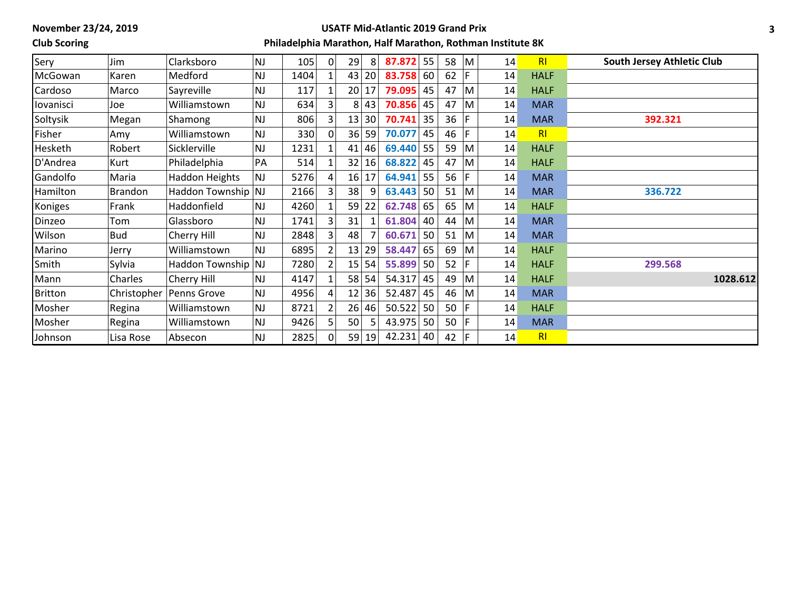## **Club Scoring**

#### **USATF Mid-Atlantic 2019 Grand Prix**

| Sery           | Jim            | Clarksboro            | <b>NJ</b> | 105  | 0 I            | 29<br>8  | 87.872    | 55 | 58       | IМ.          | 14 | RI             | <b>South Jersey Athletic Club</b> |
|----------------|----------------|-----------------------|-----------|------|----------------|----------|-----------|----|----------|--------------|----|----------------|-----------------------------------|
| McGowan        | Karen          | Medford               | NJ        | 1404 |                | 43 20    | 83.758 60 |    | 62       | F            | 14 | <b>HALF</b>    |                                   |
| Cardoso        | Marco          | Sayreville            | <b>NJ</b> | 117  |                | 20 17    | 79.095    | 45 | 47       | M            | 14 | <b>HALF</b>    |                                   |
| lovanisci      | Joe            | Williamstown          | <b>NJ</b> | 634  |                | 43<br>8  | 70.856    | 45 | 47       | M            | 14 | <b>MAR</b>     |                                   |
| Soltysik       | Megan          | Shamong               | <b>NJ</b> | 806  |                | 13 30    | 70.741    | 35 | 36       | F            | 14 | <b>MAR</b>     | 392.321                           |
| Fisher         | Amy            | Williamstown          | NJ        | 330  | $\Omega$       | 36<br>59 | 70.077    | 45 | 46       | F            | 14 | R <sub>l</sub> |                                   |
| Hesketh        | Robert         | Sicklerville          | NJ        | 1231 |                | 46<br>41 | 69.440    | 55 | 59       | M            | 14 | <b>HALF</b>    |                                   |
| D'Andrea       | Kurt           | Philadelphia          | PA        | 514  |                | 32<br>16 | 68.822    | 45 | 47       | $\mathsf{M}$ | 14 | <b>HALF</b>    |                                   |
| Gandolfo       | Maria          | <b>Haddon Heights</b> | <b>NJ</b> | 5276 | Δ              | 16 17    | 64.941    | 55 | 56       | F            | 14 | <b>MAR</b>     |                                   |
| Hamilton       | <b>Brandon</b> | Haddon Township NJ    |           | 2166 | 3              | 38<br>9  | 63.443    | 50 | 51       | M            | 14 | <b>MAR</b>     | 336.722                           |
| Koniges        | Frank          | Haddonfield           | NJ        | 4260 |                | 59 22    | 62.748    | 65 | 65       | M            | 14 | <b>HALF</b>    |                                   |
| Dinzeo         | Tom            | Glassboro             | <b>NJ</b> | 1741 | 3 <sub>1</sub> | 31       | 61.804    | 40 | 44       | M            | 14 | <b>MAR</b>     |                                   |
| Wilson         | <b>Bud</b>     | Cherry Hill           | <b>NJ</b> | 2848 |                | 48       | 60.671    | 50 | 51       | M            | 14 | <b>MAR</b>     |                                   |
| Marino         | Jerry          | Williamstown          | <b>NJ</b> | 6895 | $\overline{2}$ | 13 29    | 58.447    | 65 | 69       | M            | 14 | <b>HALF</b>    |                                   |
| Smith          | Sylvia         | Haddon Township NJ    |           | 7280 |                | 15 54    | 55.899    | 50 | $52$  F  |              | 14 | <b>HALF</b>    | 299.568                           |
| Mann           | Charles        | Cherry Hill           | <b>NJ</b> | 4147 |                | 58 54    | 54.317    | 45 | 49       | M            | 14 | <b>HALF</b>    | 1028.612                          |
| <b>Britton</b> | Christopher    | Penns Grove           | <b>NJ</b> | 4956 |                | 12 36    | 52.487    | 45 | 46       | M            | 14 | <b>MAR</b>     |                                   |
| Mosher         | Regina         | Williamstown          | NJ        | 8721 |                | 26 46    | 50.522    | 50 | 50       | F            | 14 | <b>HALF</b>    |                                   |
| Mosher         | Regina         | Williamstown          | <b>NJ</b> | 9426 |                | 50       | 43.975    | 50 | 50       | l F          | 14 | <b>MAR</b>     |                                   |
| Johnson        | Lisa Rose      | Absecon               | <b>NJ</b> | 2825 | $\Omega$       | 59 19    | 42.231    | 40 | 42 $ F $ |              | 14 | RI             |                                   |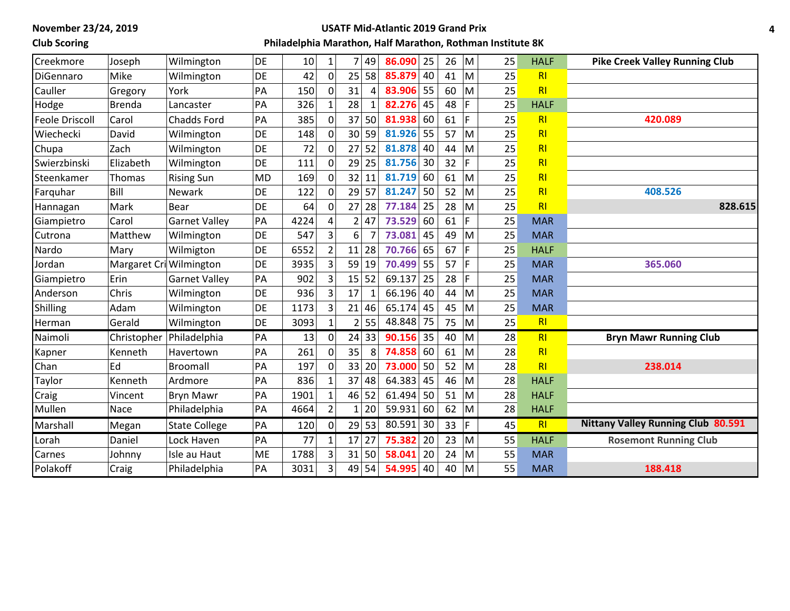### **Club Scoring**

#### **USATF Mid-Atlantic 2019 Grand Prix**

| Creekmore             | Joseph                  | Wilmington           | DE        | 10   |                |                 | 49           | 25<br>86.090 | 26 | M | 25 | <b>HALF</b>    | <b>Pike Creek Valley Running Club</b>     |
|-----------------------|-------------------------|----------------------|-----------|------|----------------|-----------------|--------------|--------------|----|---|----|----------------|-------------------------------------------|
| DiGennaro             | Mike                    | Wilmington           | <b>DE</b> | 42   | $\Omega$       |                 | 25 58        | 85.879<br>40 | 41 | M | 25 | R <sub>l</sub> |                                           |
| Cauller               | Gregory                 | York                 | PA        | 150  |                | 31              | 4            | 83.906<br>55 | 60 | M | 25 | R <sub>l</sub> |                                           |
| Hodge                 | <b>Brenda</b>           | Lancaster            | PA        | 326  | $\mathbf{1}$   | 28              | $\mathbf{1}$ | 82.276<br>45 | 48 | F | 25 | <b>HALF</b>    |                                           |
| <b>Feole Driscoll</b> | Carol                   | Chadds Ford          | PA        | 385  | $\Omega$       |                 | $37$ 50      | 81.938<br>60 | 61 | F | 25 | R <sub>l</sub> | 420.089                                   |
| Wiechecki             | David                   | Wilmington           | DE        | 148  | $\mathbf 0$    | 30 <sup>°</sup> | 59           | 81.926<br>55 | 57 | M | 25 | R <sub>l</sub> |                                           |
| Chupa                 | Zach                    | Wilmington           | DE        | 72   | $\Omega$       | 27              | 52           | 81.878<br>40 | 44 | M | 25 | R <sub>l</sub> |                                           |
| Swierzbinski          | Elizabeth               | Wilmington           | DE        | 111  | $\Omega$       | 29              | 25           | 81.756<br>30 | 32 | F | 25 | R <sub>l</sub> |                                           |
| Steenkamer            | Thomas                  | <b>Rising Sun</b>    | <b>MD</b> | 169  | 0              | 32              | 11           | 81.719<br>60 | 61 | M | 25 | R <sub>l</sub> |                                           |
| Farquhar              | Bill                    | <b>Newark</b>        | DE        | 122  | $\Omega$       | 29              | 57           | 81.247<br>50 | 52 | M | 25 | R <sub>l</sub> | 408.526                                   |
| Hannagan              | Mark                    | <b>Bear</b>          | DE        | 64   | $\mathbf{0}$   | 27              | 28           | 77.184<br>25 | 28 | M | 25 | R <sub>l</sub> | 828.615                                   |
| Giampietro            | Carol                   | <b>Garnet Valley</b> | PA        | 4224 |                | $\overline{2}$  | 47           | 73.529<br>60 | 61 | F | 25 | <b>MAR</b>     |                                           |
| Cutrona               | Matthew                 | Wilmington           | <b>DE</b> | 547  | 3              | 6               |              | 73.081<br>45 | 49 | M | 25 | <b>MAR</b>     |                                           |
| Nardo                 | Mary                    | Wilmigton            | DE        | 6552 |                | 11              | 28           | 65<br>70.766 | 67 | F | 25 | <b>HALF</b>    |                                           |
| Jordan                | Margaret Cri Wilmington |                      | DE        | 3935 | 3              |                 | 59 19        | 70.499<br>55 | 57 | F | 25 | <b>MAR</b>     | 365.060                                   |
| Giampietro            | Erin                    | <b>Garnet Valley</b> | PA        | 902  | 3              | 15              | 52           | 69.137<br>25 | 28 | F | 25 | <b>MAR</b>     |                                           |
| Anderson              | Chris                   | Wilmington           | DE        | 936  | 3              | 17              |              | 66.196<br>40 | 44 | M | 25 | <b>MAR</b>     |                                           |
| Shilling              | Adam                    | Wilmington           | DE        | 1173 | $\overline{3}$ | 21              | 46           | 65.174<br>45 | 45 | M | 25 | <b>MAR</b>     |                                           |
| Herman                | Gerald                  | Wilmington           | DE        | 3093 |                |                 | 2 55         | 48.848<br>75 | 75 | M | 25 | R <sub>l</sub> |                                           |
| Naimoli               | Christopher             | Philadelphia         | PA        | 13   | $\mathbf 0$    |                 | $24$ 33      | 90.156<br>35 | 40 | M | 28 | R <sub>l</sub> | <b>Bryn Mawr Running Club</b>             |
| Kapner                | Kenneth                 | Havertown            | PA        | 261  | 0              | 35              | 8            | 74.858<br>60 | 61 | M | 28 | R <sub>l</sub> |                                           |
| Chan                  | Ed                      | <b>Broomall</b>      | PA        | 197  |                | 33              | 20           | 73.000<br>50 | 52 | M | 28 | R <sub>l</sub> | 238.014                                   |
| Taylor                | Kenneth                 | Ardmore              | PA        | 836  |                | 37              | 48           | 64.383<br>45 | 46 | M | 28 | <b>HALF</b>    |                                           |
| Craig                 | Vincent                 | <b>Bryn Mawr</b>     | PA        | 1901 |                | 46              | 52           | 61.494<br>50 | 51 | M | 28 | <b>HALF</b>    |                                           |
| Mullen                | Nace                    | Philadelphia         | PA        | 4664 | $\overline{2}$ | $1\vert$        | 20           | 59.931<br>60 | 62 | M | 28 | <b>HALF</b>    |                                           |
| Marshall              | Megan                   | <b>State College</b> | PA        | 120  | $\mathbf 0$    |                 | $29$ 53      | 80.591<br>30 | 33 | F | 45 | R <sub>l</sub> | <b>Nittany Valley Running Club 80.591</b> |
| Lorah                 | Daniel                  | Lock Haven           | PA        | 77   | $\mathbf{1}$   | 17 <sup>1</sup> | 27           | 75.382<br>20 | 23 | M | 55 | <b>HALF</b>    | <b>Rosemont Running Club</b>              |
| Carnes                | Johnny                  | Isle au Haut         | ME        | 1788 | 3              | 31              | 50           | 58.041<br>20 | 24 | M | 55 | <b>MAR</b>     |                                           |
| Polakoff              | Craig                   | Philadelphia         | PA        | 3031 | 3              |                 | 49 54        | 54.995<br>40 | 40 | M | 55 | <b>MAR</b>     | 188.418                                   |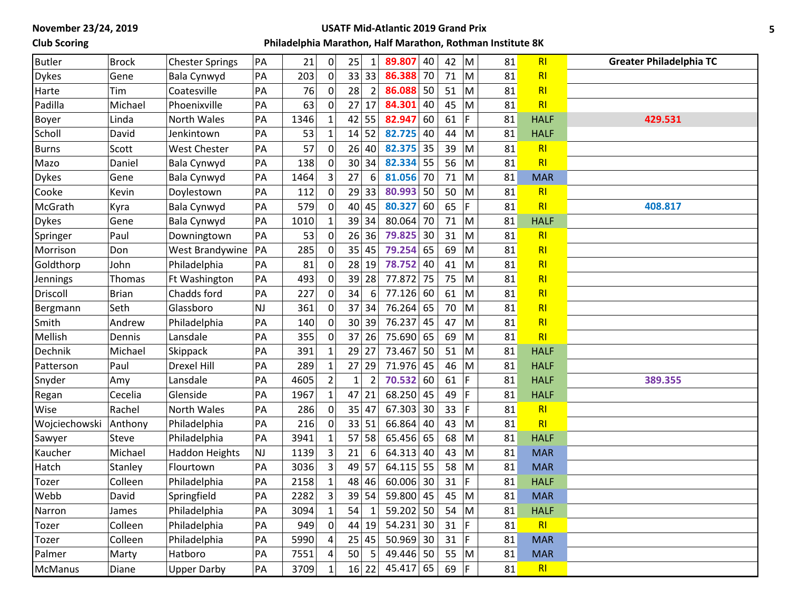## **Club Scoring**

#### **USATF Mid-Atlantic 2019 Grand Prix**

| <b>Butler</b>  | <b>Brock</b> | <b>Chester Springs</b> | PA        | 21   | 0              | 25<br>$\mathbf{1}$             | 89.807 | 40 | 42 | M   | 81 | R1             | <b>Greater Philadelphia TC</b> |
|----------------|--------------|------------------------|-----------|------|----------------|--------------------------------|--------|----|----|-----|----|----------------|--------------------------------|
| <b>Dykes</b>   | Gene         | Bala Cynwyd            | PA        | 203  | $\mathbf 0$    | 33 33                          | 86.388 | 70 | 71 | M   | 81 | R <sub>l</sub> |                                |
| Harte          | Tim          | Coatesville            | PA        | 76   | 0              | 28<br>$\overline{2}$           | 86.088 | 50 | 51 | M   | 81 | R <sub>l</sub> |                                |
| Padilla        | Michael      | Phoenixville           | PA        | 63   | 0              | 27<br>17                       | 84.301 | 40 | 45 | M   | 81 | R <sub>l</sub> |                                |
| Boyer          | Linda        | North Wales            | PA        | 1346 | 1              | 42<br>55                       | 82.947 | 60 | 61 | F.  | 81 | <b>HALF</b>    | 429.531                        |
| Scholl         | David        | Jenkintown             | PA        | 53   | $\mathbf{1}$   | 52<br>14                       | 82.725 | 40 | 44 | M   | 81 | <b>HALF</b>    |                                |
| <b>Burns</b>   | Scott        | <b>West Chester</b>    | PA        | 57   | $\mathbf 0$    | 40<br>26                       | 82.375 | 35 | 39 | M   | 81 | R <sub>l</sub> |                                |
| Mazo           | Daniel       | <b>Bala Cynwyd</b>     | PA        | 138  | $\mathbf 0$    | 30 <sup>1</sup><br>34          | 82.334 | 55 | 56 | M   | 81 | R1             |                                |
| <b>Dykes</b>   | Gene         | Bala Cynwyd            | PA        | 1464 | 3              | 27<br>6                        | 81.056 | 70 | 71 | M   | 81 | <b>MAR</b>     |                                |
| Cooke          | Kevin        | Doylestown             | PA        | 112  | $\mathbf 0$    | 29<br>33                       | 80.993 | 50 | 50 | M   | 81 | RI             |                                |
| McGrath        | Kyra         | Bala Cynwyd            | PA        | 579  | $\mathbf 0$    | 40<br>45                       | 80.327 | 60 | 65 | F.  | 81 | R <sub>l</sub> | 408.817                        |
| <b>Dykes</b>   | Gene         | <b>Bala Cynwyd</b>     | PA        | 1010 | $\mathbf{1}$   | 39<br>34                       | 80.064 | 70 | 71 | M   | 81 | <b>HALF</b>    |                                |
| Springer       | Paul         | Downingtown            | PA        | 53   | $\mathbf 0$    | 26<br>36                       | 79.825 | 30 | 31 | M   | 81 | R <sub>l</sub> |                                |
| Morrison       | Don          | West Brandywine        | PA        | 285  | 0              | 35<br>45                       | 79.254 | 65 | 69 | M   | 81 | R <sub>l</sub> |                                |
| Goldthorp      | John         | Philadelphia           | PA        | 81   | 0              | 19<br>28                       | 78.752 | 40 | 41 | M   | 81 | R <sub>l</sub> |                                |
| Jennings       | Thomas       | Ft Washington          | PA        | 493  | 0              | 39<br>28                       | 77.872 | 75 | 75 | M   | 81 | RI             |                                |
| Driscoll       | <b>Brian</b> | Chadds ford            | PA        | 227  | $\Omega$       | 34<br>6                        | 77.126 | 60 | 61 | M   | 81 | RI             |                                |
| Bergmann       | Seth         | Glassboro              | <b>NJ</b> | 361  | 0              | 37<br>34                       | 76.264 | 65 | 70 | M   | 81 | RI             |                                |
| Smith          | Andrew       | Philadelphia           | PA        | 140  | $\Omega$       | 30 <sup>°</sup><br>39          | 76.237 | 45 | 47 | M   | 81 | RI             |                                |
| Mellish        | Dennis       | Lansdale               | PA        | 355  | $\mathbf 0$    | 37<br>26                       | 75.690 | 65 | 69 | M   | 81 | R <sub>l</sub> |                                |
| Dechnik        | Michael      | Skippack               | PA        | 391  | $\mathbf{1}$   | 29<br>27                       | 73.467 | 50 | 51 | M   | 81 | <b>HALF</b>    |                                |
| Patterson      | Paul         | <b>Drexel Hill</b>     | PA        | 289  | $\mathbf{1}$   | 27<br>29                       | 71.976 | 45 | 46 | M   | 81 | <b>HALF</b>    |                                |
| Snyder         | Amy          | Lansdale               | PA        | 4605 | $\overline{2}$ | $\overline{2}$<br>$\mathbf{1}$ | 70.532 | 60 | 61 | F.  | 81 | <b>HALF</b>    | 389.355                        |
| Regan          | Cecelia      | Glenside               | PA        | 1967 | $\mathbf 1$    | 47<br>21                       | 68.250 | 45 | 49 | F   | 81 | <b>HALF</b>    |                                |
| Wise           | Rachel       | <b>North Wales</b>     | PA        | 286  | $\mathbf 0$    | 35 47                          | 67.303 | 30 | 33 | F   | 81 | R <sub>l</sub> |                                |
| Wojciechowski  | Anthony      | Philadelphia           | PA        | 216  | 0              | 33 51                          | 66.864 | 40 | 43 | M   | 81 | R1             |                                |
| Sawyer         | Steve        | Philadelphia           | PA        | 3941 | $\mathbf{1}$   | 57<br>58                       | 65.456 | 65 | 68 | M   | 81 | <b>HALF</b>    |                                |
| Kaucher        | Michael      | <b>Haddon Heights</b>  | <b>NJ</b> | 1139 | 3              | 21<br>6                        | 64.313 | 40 | 43 | lM. | 81 | <b>MAR</b>     |                                |
| Hatch          | Stanley      | Flourtown              | PA        | 3036 | 3              | 49<br>57                       | 64.115 | 55 | 58 | M   | 81 | <b>MAR</b>     |                                |
| Tozer          | Colleen      | Philadelphia           | PA        | 2158 | $\mathbf 1$    | 48<br>46                       | 60.006 | 30 | 31 | F.  | 81 | <b>HALF</b>    |                                |
| Webb           | David        | Springfield            | PA        | 2282 | 3              | 39<br>54                       | 59.800 | 45 | 45 | M   | 81 | <b>MAR</b>     |                                |
| Narron         | James        | Philadelphia           | PA        | 3094 | $\mathbf{1}$   | 54<br>$\mathbf{1}$             | 59.202 | 50 | 54 | M   | 81 | <b>HALF</b>    |                                |
| Tozer          | Colleen      | Philadelphia           | PA        | 949  | $\mathbf 0$    | 44<br>19                       | 54.231 | 30 | 31 | F.  | 81 | RI             |                                |
| Tozer          | Colleen      | Philadelphia           | PA        | 5990 | 4              | 25<br>45                       | 50.969 | 30 | 31 | F.  | 81 | <b>MAR</b>     |                                |
| Palmer         | Marty        | Hatboro                | PA        | 7551 | 4              | 50<br>5                        | 49.446 | 50 | 55 | M   | 81 | <b>MAR</b>     |                                |
| <b>McManus</b> | Diane        | <b>Upper Darby</b>     | PA        | 3709 | $\mathbf{1}$   | 16<br>22                       | 45.417 | 65 | 69 | F   | 81 | R <sub>l</sub> |                                |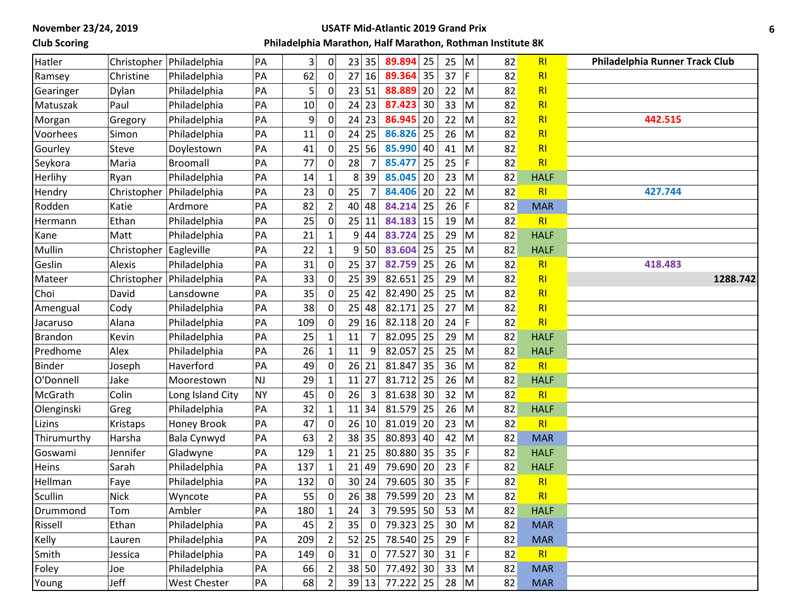### **Club Scoring**

#### **USATF Mid-Atlantic 2019 Grand Prix**

| Hatler         |             | Christopher   Philadelphia | PA        | 3   | 0              | 23             | 35        | 89.894    | 25 | 25      | M                       | 82 | RI             | Philadelphia Runner Track Club |
|----------------|-------------|----------------------------|-----------|-----|----------------|----------------|-----------|-----------|----|---------|-------------------------|----|----------------|--------------------------------|
| Ramsey         | Christine   | Philadelphia               | PA        | 62  | 0              |                | 27 16     | 89.364    | 35 | 37      | F                       | 82 | RI             |                                |
| Gearinger      | Dylan       | Philadelphia               | PA        | 5   |                |                | 23 51     | 88.889    | 20 | 22      | Iм                      | 82 | RI             |                                |
| Matuszak       | Paul        | Philadelphia               | PA        | 10  | 0              |                | $24$ 23   | 87.423    | 30 | 33      | M                       | 82 | RI             |                                |
| Morgan         | Gregory     | Philadelphia               | PA        | 9   | $\Omega$       |                | $24$ 23   | 86.945    | 20 | 22      | M                       | 82 | RI             | 442.515                        |
| Voorhees       | Simon       | Philadelphia               | PA        | 11  | 0              |                | $24$ 25   | 86.826    | 25 | 26      | M                       | 82 | RI             |                                |
| Gourley        | Steve       | Doylestown                 | PA        | 41  | 0              |                | 25 56     | 85.990    | 40 | 41      | M                       | 82 | RI             |                                |
| Seykora        | Maria       | <b>Broomall</b>            | PA        | 77  |                | 28             |           | 85.477    | 25 | 25      | F                       | 82 | R1             |                                |
| Herlihy        | Ryan        | Philadelphia               | PA        | 14  |                | 8 <sup>1</sup> | 39        | 85.045    | 20 | 23      | İМ                      | 82 | <b>HALF</b>    |                                |
| Hendry         | Christopher | Philadelphia               | PA        | 23  | $\mathbf 0$    | 25             |           | 84.406    | 20 | 22      | $\mathsf{M}$            | 82 | RI             | 427.744                        |
| Rodden         | Katie       | Ardmore                    | PA        | 82  | $\overline{2}$ | 40             | 48        | 84.214    | 25 | 26      | F                       | 82 | <b>MAR</b>     |                                |
| Hermann        | Ethan       | Philadelphia               | PA        | 25  | $\mathbf 0$    |                | 25 11     | 84.183    | 15 | 19      | M                       | 82 | RI             |                                |
| Kane           | Matt        | Philadelphia               | PA        | 21  |                | 9              | 44        | 83.724    | 25 | 29      | M                       | 82 | <b>HALF</b>    |                                |
| Mullin         | Christopher | Eagleville                 | PA        | 22  |                | 9              | 50        | 83.604    | 25 | 25      | M                       | 82 | <b>HALF</b>    |                                |
| Geslin         | Alexis      | Philadelphia               | PA        | 31  | 0              |                | 25 37     | 82.759    | 25 | 26      | M                       | 82 | RI             | 418.483                        |
| Mateer         | Christopher | Philadelphia               | PA        | 33  | 0              |                | 25 39     | 82.651    | 25 | 29      | M                       | 82 | RI             | 1288.742                       |
| Choi           | David       | Lansdowne                  | PA        | 35  |                | 25             | 42        | 82.490    | 25 | 25      | M                       | 82 | RI             |                                |
| Amengual       | Cody        | Philadelphia               | PA        | 38  |                | 25             | 48        | 82.171    | 25 | 27      | M                       | 82 | RI             |                                |
| Jacaruso       | Alana       | Philadelphia               | PA        | 109 | $\Omega$       |                | 29 16     | 82.118    | 20 | 24      | F                       | 82 | RI             |                                |
| <b>Brandon</b> | Kevin       | Philadelphia               | PA        | 25  |                | 11             |           | 82.095    | 25 | 29      | M                       | 82 | <b>HALF</b>    |                                |
| Predhome       | Alex        | Philadelphia               | PA        | 26  | 1              | 11             | 9         | 82.057    | 25 | 25      | M                       | 82 | <b>HALF</b>    |                                |
| <b>Binder</b>  | Joseph      | Haverford                  | PA        | 49  | $\Omega$       |                | 26 21     | 81.847    | 35 | 36      | M                       | 82 | RI             |                                |
| O'Donnell      | Jake        | Moorestown                 | NJ        | 29  |                | 11             | 27        | 81.712    | 25 | 26      | M                       | 82 | <b>HALF</b>    |                                |
| McGrath        | Colin       | Long Island City           | <b>NY</b> | 45  | $\mathbf 0$    | 26             | 3         | 81.638 30 |    | 32      | M                       | 82 | RI             |                                |
| Olenginski     | Greg        | Philadelphia               | PA        | 32  | 1              | 11             | 34        | 81.579    | 25 | 26      | M                       | 82 | <b>HALF</b>    |                                |
| Lizins         | Kristaps    | Honey Brook                | PA        | 47  | 0              | 26             | 10        | 81.019    | 20 | 23      | M                       | 82 | RI             |                                |
| Thirumurthy    | Harsha      | Bala Cynwyd                | PA        | 63  |                |                | 38 35     | 80.893    | 40 | 42      | M                       | 82 | <b>MAR</b>     |                                |
| Goswami        | Jennifer    | Gladwyne                   | PA        | 129 |                |                | $21$   25 | 80.880    | 35 | 35      | F                       | 82 | <b>HALF</b>    |                                |
| Heins          | Sarah       | Philadelphia               | PA        | 137 | $\mathbf{1}$   |                | 21 49     | 79.690    | 20 | 23      | F                       | 82 | <b>HALF</b>    |                                |
| Hellman        | Faye        | Philadelphia               | PA        | 132 | 0              |                | $30$ 24   | 79.605    | 30 | 35      | F                       | 82 | RI             |                                |
| Scullin        | <b>Nick</b> | Wyncote                    | PA        | 55  | 0              |                | 26 38     | 79.599    | 20 | 23      | $\overline{\mathsf{M}}$ | 82 | RI             |                                |
| Drummond       | Tom         | Ambler                     | PA        | 180 | $\mathbf{1}$   | 24             | 3         | 79.595 50 |    | 53 $ M$ |                         | 82 | <b>HALF</b>    |                                |
| Rissell        | Ethan       | Philadelphia               | PA        | 45  | $\overline{2}$ | 35             | 0         | 79.323 25 |    | $30$ M  |                         | 82 | <b>MAR</b>     |                                |
| Kelly          | Lauren      | Philadelphia               | PA        | 209 | $\overline{2}$ |                | 52 25     | 78.540 25 |    | 29      | F                       | 82 | <b>MAR</b>     |                                |
| Smith          | Jessica     | Philadelphia               | PA        | 149 | $\mathbf{0}$   | 31             | 0         | 77.527 30 |    | 31      | IF.                     | 82 | R <sub>l</sub> |                                |
| Foley          | Joe         | Philadelphia               | PA        | 66  | $\overline{2}$ |                | 38 50     | 77.492 30 |    | 33 $ M$ |                         | 82 | <b>MAR</b>     |                                |
| Young          | Jeff        | West Chester               | PA        | 68  | 2              |                | 39 13     | 77.222 25 |    | $28$ M  |                         | 82 | <b>MAR</b>     |                                |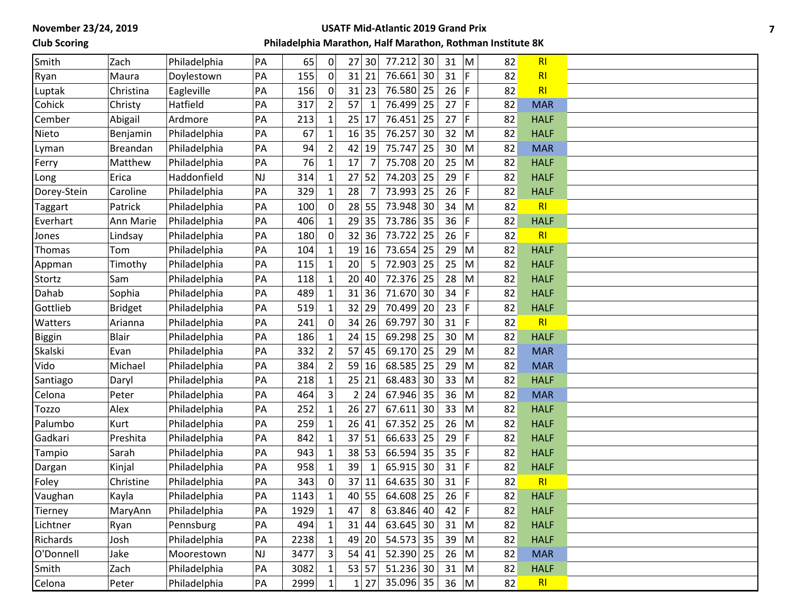## **Club Scoring**

#### **USATF Mid-Atlantic 2019 Grand Prix**

| Smith         | Zach            | Philadelphia | PA        | 65   | 0            | 27      | 30           | 77.212      | 30 | 31       | M           | 82 | R <sub>l</sub> |  |
|---------------|-----------------|--------------|-----------|------|--------------|---------|--------------|-------------|----|----------|-------------|----|----------------|--|
| Ryan          | Maura           | Doylestown   | PA        | 155  | $\Omega$     | 31      | 21           | 76.661      | 30 | 31       | F           | 82 | R <sub>l</sub> |  |
| Luptak        | Christina       | Eagleville   | PA        | 156  | $\mathbf{0}$ | 31      | 23           | 76.580      | 25 | 26       | F.          | 82 | RI             |  |
| Cohick        | Christy         | Hatfield     | PA        | 317  |              | 57      | $\mathbf{1}$ | 76.499      | 25 | 27       | $\mathsf F$ | 82 | <b>MAR</b>     |  |
| Cember        | Abigail         | Ardmore      | PA        | 213  |              | 25      | 17           | 76.451      | 25 | 27       | F           | 82 | <b>HALF</b>    |  |
| Nieto         | Benjamin        | Philadelphia | PA        | 67   |              | 16      | 35           | 76.257      | 30 | 32       | M           | 82 | <b>HALF</b>    |  |
| Lyman         | <b>Breandan</b> | Philadelphia | PA        | 94   |              | 42      | 19           | 75.747      | 25 | 30       | M           | 82 | <b>MAR</b>     |  |
| Ferry         | Matthew         | Philadelphia | PA        | 76   |              | 17      | 7            | 75.708      | 20 | 25       | M           | 82 | <b>HALF</b>    |  |
| Long          | Erica           | Haddonfield  | <b>NJ</b> | 314  |              | 27      | 52           | 74.203      | 25 | 29       | F.          | 82 | <b>HALF</b>    |  |
| Dorey-Stein   | Caroline        | Philadelphia | PA        | 329  | 1            | 28      |              | 73.993      | 25 | 26       | F           | 82 | <b>HALF</b>    |  |
| Taggart       | Patrick         | Philadelphia | PA        | 100  | ∩            | 28      | 55           | 73.948      | 30 | 34       | M           | 82 | R <sub>l</sub> |  |
| Everhart      | Ann Marie       | Philadelphia | PA        | 406  |              |         | 29 35        | 73.786      | 35 | 36       | F.          | 82 | <b>HALF</b>    |  |
| Jones         | Lindsay         | Philadelphia | PA        | 180  |              | 32      | 36           | 73.722      | 25 | 26       | F           | 82 | R <sub>l</sub> |  |
| Thomas        | Tom             | Philadelphia | PA        | 104  |              | 19      | 16           | 73.654      | 25 | 29       | M           | 82 | <b>HALF</b>    |  |
| Appman        | Timothy         | Philadelphia | PA        | 115  | 1            | 20      | 5            | 72.903      | 25 | 25       | M           | 82 | <b>HALF</b>    |  |
| Stortz        | Sam             | Philadelphia | PA        | 118  |              |         | 20 40        | 72.376      | 25 | 28       | M           | 82 | <b>HALF</b>    |  |
| Dahab         | Sophia          | Philadelphia | PA        | 489  |              | 31      | 36           | 71.670      | 30 | 34       | F           | 82 | <b>HALF</b>    |  |
| Gottlieb      | <b>Bridget</b>  | Philadelphia | PA        | 519  |              | 32      | 29           | 70.499      | 20 | 23       | F           | 82 | <b>HALF</b>    |  |
| Watters       | Arianna         | Philadelphia | PA        | 241  | 0            | 34      | 26           | 69.797      | 30 | 31       | F.          | 82 | R <sub>l</sub> |  |
| <b>Biggin</b> | <b>Blair</b>    | Philadelphia | PA        | 186  |              | 24      | 15           | 69.298      | 25 | 30       | M           | 82 | <b>HALF</b>    |  |
| Skalski       | Evan            | Philadelphia | PA        | 332  |              |         | 57 45        | 69.170      | 25 | 29       | M           | 82 | <b>MAR</b>     |  |
| Vido          | Michael         | Philadelphia | PA        | 384  |              |         | $59$ 16      | 68.585      | 25 | 29       | M           | 82 | <b>MAR</b>     |  |
| Santiago      | Daryl           | Philadelphia | PA        | 218  |              | $25$ 21 |              | 68.483      | 30 | 33       | M           | 82 | <b>HALF</b>    |  |
| Celona        | Peter           | Philadelphia | PA        | 464  | 3            |         | 2 24         | 67.946      | 35 | 36       | M           | 82 | <b>MAR</b>     |  |
| <b>Tozzo</b>  | Alex            | Philadelphia | PA        | 252  |              | 26      | 27           | 67.611      | 30 | 33       | M           | 82 | <b>HALF</b>    |  |
| Palumbo       | Kurt            | Philadelphia | PA        | 259  |              |         | 26 41        | 67.352      | 25 | 26       | M           | 82 | <b>HALF</b>    |  |
| Gadkari       | Preshita        | Philadelphia | PA        | 842  |              | 37      | 51           | 66.633      | 25 | 29       | F.          | 82 | <b>HALF</b>    |  |
| Tampio        | Sarah           | Philadelphia | PA        | 943  |              |         | 38 53        | 66.594      | 35 | 35       | F           | 82 | <b>HALF</b>    |  |
| Dargan        | Kinjal          | Philadelphia | PA        | 958  |              | 39      | $\mathbf{1}$ | 65.915      | 30 | 31       | F           | 82 | <b>HALF</b>    |  |
| Foley         | Christine       | Philadelphia | PA        | 343  |              | 37      | 11           | 64.635      | 30 | 31       | F.          | 82 | R <sub>l</sub> |  |
| Vaughan       | Kayla           | Philadelphia | PA        | 1143 |              | 40      | 55           | 64.608      | 25 | 26       | F           | 82 | <b>HALF</b>    |  |
| Tierney       | MaryAnn         | Philadelphia | PA        | 1929 | $\mathbf{1}$ | 47      | 8            | 63.846 40   |    | 42 $ F $ |             | 82 | <b>HALF</b>    |  |
| Lichtner      | Ryan            | Pennsburg    | PA        | 494  |              |         | 31 44        | $63.645$ 30 |    | 31       | M           | 82 | <b>HALF</b>    |  |
| Richards      | Josh            | Philadelphia | PA        | 2238 |              |         | 49 20        | $54.573$ 35 |    | 39       | M           | 82 | <b>HALF</b>    |  |
| O'Donnell     | Jake            | Moorestown   | <b>NJ</b> | 3477 |              |         | 54 41        | $52.390$ 25 |    | 26       | M           | 82 | <b>MAR</b>     |  |
| Smith         | Zach            | Philadelphia | PA        | 3082 | $\mathbf{1}$ |         | 53 57        | $51.236$ 30 |    | 31       | M           | 82 | <b>HALF</b>    |  |
| Celona        | Peter           | Philadelphia | PA        | 2999 |              |         | 1 27         | 35.096 35   |    | $36$ M   |             | 82 | R <sub>l</sub> |  |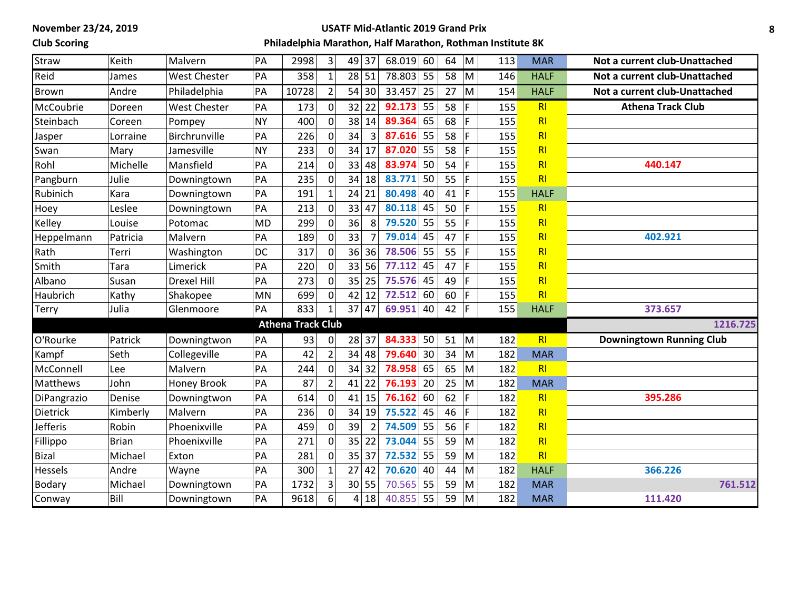### **Club Scoring**

#### **USATF Mid-Atlantic 2019 Grand Prix**

| Straw          | Keith        | Malvern             | PA        | 2998                     | 3              | 49 37                 | $68.019$ 60 |    | 64 | M  | 113 | <b>MAR</b>     | Not a current club-Unattached   |
|----------------|--------------|---------------------|-----------|--------------------------|----------------|-----------------------|-------------|----|----|----|-----|----------------|---------------------------------|
| Reid           | James        | West Chester        | PA        | 358                      | $\mathbf{1}$   | 28 51                 | 78.803 55   |    | 58 | M  | 146 | <b>HALF</b>    | Not a current club-Unattached   |
| Brown          | Andre        | Philadelphia        | PA        | 10728                    | $\overline{2}$ | 54 30                 | 33.457      | 25 | 27 | M  | 154 | <b>HALF</b>    | Not a current club-Unattached   |
| McCoubrie      | Doreen       | <b>West Chester</b> | PA        | 173                      | 0              | 32<br>22              | 92.173      | 55 | 58 | F. | 155 | RI             | <b>Athena Track Club</b>        |
| Steinbach      | Coreen       | Pompey              | <b>NY</b> | 400                      | 0              | 38<br>14              | 89.364      | 65 | 68 | F  | 155 | R <sub>l</sub> |                                 |
| Jasper         | Lorraine     | Birchrunville       | PA        | 226                      | $\mathbf 0$    | 34<br>$\overline{3}$  | $87.616$ 55 |    | 58 | F  | 155 | R1             |                                 |
| Swan           | Mary         | Jamesville          | <b>NY</b> | 233                      | $\mathbf 0$    | 34<br>17              | 87.020      | 55 | 58 | F  | 155 | R1             |                                 |
| Rohl           | Michelle     | Mansfield           | PA        | 214                      | 0              | 33<br>48              | 83.974      | 50 | 54 | F  | 155 | R <sub>l</sub> | 440.147                         |
| Pangburn       | Julie        | Downingtown         | PA        | 235                      | $\mathbf 0$    | 34<br>18              | 83.771      | 50 | 55 | F  | 155 | R1             |                                 |
| Rubinich       | Kara         | Downingtown         | PA        | 191                      |                | 24 21                 | 80.498      | 40 | 41 | F  | 155 | <b>HALF</b>    |                                 |
| Hoey           | Leslee       | Downingtown         | PA        | 213                      | $\mathbf 0$    | 33 47                 | 80.118      | 45 | 50 | F  | 155 | R <sub>l</sub> |                                 |
| Kelley         | Louise       | Potomac             | <b>MD</b> | 299                      | $\mathbf 0$    | 36<br>8               | 79.520 55   |    | 55 | F  | 155 | R <sub>l</sub> |                                 |
| Heppelmann     | Patricia     | Malvern             | PA        | 189                      | $\mathbf{0}$   | 33                    | $79.014$ 45 |    | 47 | F  | 155 | R1             | 402.921                         |
| Rath           | Terri        | Washington          | DC        | 317                      | $\mathbf 0$    | 36<br>36              | 78.506      | 55 | 55 | F  | 155 | R1             |                                 |
| Smith          | Tara         | Limerick            | PA        | 220                      | $\Omega$       | 33<br>56              | 77.112      | 45 | 47 | F  | 155 | R1             |                                 |
| Albano         | Susan        | <b>Drexel Hill</b>  | PA        | 273                      | 0              | 35<br>25              | 75.576      | 45 | 49 | F  | 155 | R1             |                                 |
| Haubrich       | Kathy        | Shakopee            | <b>MN</b> | 699                      | $\mathbf 0$    | 42<br>12              | 72.512      | 60 | 60 | F  | 155 | R1             |                                 |
| <b>Terry</b>   | Julia        | Glenmoore           | PA        | 833                      |                | 37 47                 | 69.951      | 40 | 42 | F  | 155 | <b>HALF</b>    | 373.657                         |
|                |              |                     |           | <b>Athena Track Club</b> |                |                       |             |    |    |    |     |                | 1216.725                        |
| O'Rourke       | Patrick      | Downingtwon         | PA        | 93                       | 0              | $28$ 37               | 84.333 50   |    | 51 | M  | 182 | R1             | <b>Downingtown Running Club</b> |
| Kampf          | Seth         | Collegeville        | PA        | 42                       | $\overline{2}$ | 34 48                 | 79.640      | 30 | 34 | M  | 182 | <b>MAR</b>     |                                 |
| McConnell      | Lee          | Malvern             | PA        | 244                      | $\Omega$       | 34<br>32              | 78.958      | 65 | 65 | M  | 182 | R <sub>l</sub> |                                 |
| Matthews       | John         | Honey Brook         | PA        | 87                       | $\overline{2}$ | 22<br>41              | 76.193      | 20 | 25 | M  | 182 | <b>MAR</b>     |                                 |
| DiPangrazio    | Denise       | Downingtwon         | PA        | 614                      | $\mathbf 0$    | $41$ 15               | 76.162      | 60 | 62 | F  | 182 | R <sub>l</sub> | 395.286                         |
| Dietrick       | Kimberly     | Malvern             | PA        | 236                      | $\mathbf{0}$   | 34<br>19              | 75.522      | 45 | 46 | F  | 182 | R <sub>l</sub> |                                 |
| Jefferis       | Robin        | Phoenixville        | PA        | 459                      | $\mathbf 0$    | 39<br>$\overline{2}$  | 74.509      | 55 | 56 | F  | 182 | R1             |                                 |
| Fillippo       | <b>Brian</b> | Phoenixville        | PA        | 271                      | $\Omega$       | 35<br>22              | 73.044      | 55 | 59 | M  | 182 | R1             |                                 |
| Bizal          | Michael      | Exton               | PA        | 281                      | 0              | 35 37                 | 72.532      | 55 | 59 | M  | 182 | R <sub>l</sub> |                                 |
| <b>Hessels</b> | Andre        | Wayne               | PA        | 300                      | $\mathbf{1}$   | 27 42                 | 70.620      | 40 | 44 | M  | 182 | <b>HALF</b>    | 366.226                         |
| <b>Bodary</b>  | Michael      | Downingtown         | PA        | 1732                     | 3              | 30 55                 | 70.565      | 55 | 59 | M  | 182 | <b>MAR</b>     | 761.512                         |
| Conway         | Bill         | Downingtown         | PA        | 9618                     | 6              | 18<br>$\vert 4 \vert$ | 40.855      | 55 | 59 | M  | 182 | <b>MAR</b>     | 111.420                         |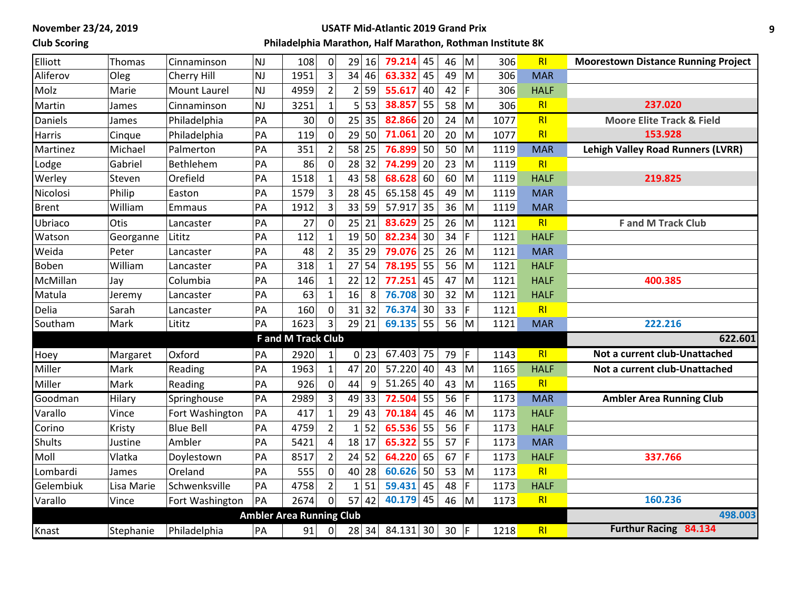# **Club Scoring**

#### **USATF Mid-Atlantic 2019 Grand Prix**

| Elliott      | Thomas     | Cinnaminson         | <b>NJ</b> | 108                             | $\mathbf 0$      | 29           | 16                         | $79.214$ 45     | 46      | M   | 306  | R <sub>l</sub> | <b>Moorestown Distance Running Project</b> |
|--------------|------------|---------------------|-----------|---------------------------------|------------------|--------------|----------------------------|-----------------|---------|-----|------|----------------|--------------------------------------------|
| Aliferov     | Oleg       | Cherry Hill         | <b>NJ</b> | 1951                            | 3                |              | 34 46                      | 63.332<br>45    | 49      | M   | 306  | <b>MAR</b>     |                                            |
| Molz         | Marie      | <b>Mount Laurel</b> | <b>NJ</b> | 4959                            | $\overline{2}$   |              | $2$ 59                     | 55.617<br>40    | 42      | F   | 306  | <b>HALF</b>    |                                            |
| Martin       | James      | Cinnaminson         | <b>NJ</b> | 3251                            | $\mathbf{1}$     |              | $5 \overline{\smash{)}53}$ | 38.857<br>55    | 58      | M   | 306  | RI             | 237.020                                    |
| Daniels      | James      | Philadelphia        | PA        | 30                              | $\mathbf 0$      |              | 25 35                      | 82.866 20       | 24      | M   | 1077 | RI             | <b>Moore Elite Track &amp; Field</b>       |
| Harris       | Cinque     | Philadelphia        | PA        | 119                             | 0                |              | 29 50                      | 71.061<br>20    | 20      | M   | 1077 | R <sub>l</sub> | 153.928                                    |
| Martinez     | Michael    | Palmerton           | PA        | 351                             | $\overline{2}$   |              | $\overline{58}$ 25         | 76.899<br>50    | 50      | M   | 1119 | <b>MAR</b>     | <b>Lehigh Valley Road Runners (LVRR)</b>   |
| Lodge        | Gabriel    | Bethlehem           | PA        | 86                              | $\mathbf 0$      |              | 28 32                      | 74.299<br>20    | 23      | M   | 1119 | R <sub>l</sub> |                                            |
| Werley       | Steven     | Orefield            | PA        | 1518                            | 1                |              | 43 58                      | 68.628<br>60    | 60      | M   | 1119 | <b>HALF</b>    | 219.825                                    |
| Nicolosi     | Philip     | Easton              | PA        | 1579                            | 3                |              | $28$ 45                    | 65.158<br>45    | 49      | M   | 1119 | <b>MAR</b>     |                                            |
| <b>Brent</b> | William    | Emmaus              | PA        | 1912                            | 3                |              | 33 59                      | 57.917<br>35    | 36      | M   | 1119 | <b>MAR</b>     |                                            |
| Ubriaco      | Otis       | Lancaster           | PA        | 27                              | $\boldsymbol{0}$ |              | 25 21                      | 83.629<br>25    | 26      | M   | 1121 | RI             | <b>F</b> and M Track Club                  |
| Watson       | Georganne  | Lititz              | PA        | 112                             | $\mathbf{1}$     |              | 19 50                      | 82.234<br>30    | 34      | F   | 1121 | <b>HALF</b>    |                                            |
| Weida        | Peter      | Lancaster           | PA        | 48                              | $\overline{2}$   | 35           | 29                         | 79.076<br>25    | 26      | M   | 1121 | <b>MAR</b>     |                                            |
| <b>Boben</b> | William    | Lancaster           | PA        | 318                             | $\mathbf{1}$     | 27           | 54                         | 78.195<br>55    | 56      | M   | 1121 | <b>HALF</b>    |                                            |
| McMillan     | Jay        | Columbia            | PA        | 146                             | $\mathbf{1}$     |              | $22$ 12                    | 77.251<br>45    | 47      | M   | 1121 | <b>HALF</b>    | 400.385                                    |
| Matula       | Jeremy     | Lancaster           | PA        | 63                              | $\mathbf{1}$     | 16           | 8                          | 76.708<br>30    | 32      | M   | 1121 | <b>HALF</b>    |                                            |
| Delia        | Sarah      | Lancaster           | PA        | 160                             | $\mathbf 0$      |              | $31$ 32                    | 76.374<br>30    | 33      | F.  | 1121 | RI             |                                            |
| Southam      | Mark       | Lititz              | PA        | 1623                            | 3                |              | 29 21                      | 69.135 55       | 56      | M   | 1121 | <b>MAR</b>     | 222.216                                    |
|              |            |                     |           | <b>F</b> and M Track Club       |                  |              |                            |                 |         |     |      |                | 622.601                                    |
| Hoey         | Margaret   | Oxford              | PA        | 2920                            |                  |              | $0$ 23                     | $67.403$ 75     | 79      | l F | 1143 | R <sub>l</sub> | Not a current club-Unattached              |
| Miller       | Mark       | Reading             | PA        | 1963                            | $\mathbf{1}$     | 47           | 20                         | 57.220 40       | 43      | M   | 1165 | <b>HALF</b>    | Not a current club-Unattached              |
| Miller       | Mark       | Reading             | PA        | 926                             | $\mathbf 0$      | 44           | 9                          | $51.265$ 40     | 43      | M   | 1165 | R <sub>l</sub> |                                            |
| Goodman      | Hilary     | Springhouse         | PA        | 2989                            | $\overline{3}$   |              | 49 33                      | 72.504<br>55    | 56      | F.  | 1173 | <b>MAR</b>     | <b>Ambler Area Running Club</b>            |
| Varallo      | Vince      | Fort Washington     | PA        | 417                             | $\mathbf{1}$     |              | 29 43                      | 70.184<br>45    | 46      | M   | 1173 | <b>HALF</b>    |                                            |
| Corino       | Kristy     | <b>Blue Bell</b>    | PA        | 4759                            | $\overline{2}$   | 1            | 52                         | 65.536<br>55    | 56      | F   | 1173 | <b>HALF</b>    |                                            |
| Shults       | Justine    | Ambler              | PA        | 5421                            | $\overline{4}$   |              | $18$   17                  | 65.322<br>55    | 57      | F   | 1173 | <b>MAR</b>     |                                            |
| Moll         | Vlatka     | Doylestown          | PA        | 8517                            | $\overline{2}$   |              | $24$ 52                    | 64.220<br>65    | 67      | F   | 1173 | <b>HALF</b>    | 337.766                                    |
| Lombardi     | James      | Oreland             | PA        | 555                             | 0                |              | 40 28                      | 60.626<br>50    | 53      | M   | 1173 | R <sub>l</sub> |                                            |
| Gelembiuk    | Lisa Marie | Schwenksville       | PA        | 4758                            | $\overline{2}$   | $\mathbf{1}$ | 51                         | 59.431<br>45    | 48      | F.  | 1173 | <b>HALF</b>    |                                            |
| Varallo      | Vince      | Fort Washington     | PA        | 2674                            | $\overline{0}$   |              | $57$ 42                    | $40.179$ 45     | 46      | M   | 1173 | RI             | 160.236                                    |
|              |            |                     |           | <b>Ambler Area Running Club</b> |                  |              |                            |                 |         |     |      |                | 498.003                                    |
| Knast        | Stephanie  | Philadelphia        | PA        | 91                              | 0                |              |                            | 28 34 84.131 30 | $30$  F |     | 1218 | R <sub>l</sub> | Furthur Racing 84.134                      |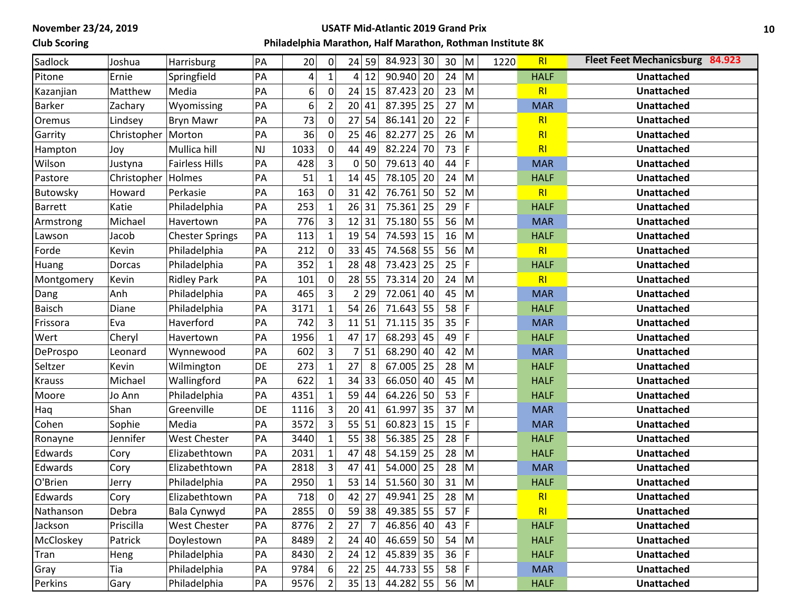## **Club Scoring**

#### **USATF Mid-Atlantic 2019 Grand Prix**

| Sadlock         | Joshua      | Harrisburg             | PA        | 20   | 0              | 24 59          |    | 84.923                 | 30 | 30           | ${\sf M}$                                                                                                  | 1220 | R <sub>l</sub> | <b>Fleet Feet Mechanicsburg 84.923</b> |
|-----------------|-------------|------------------------|-----------|------|----------------|----------------|----|------------------------|----|--------------|------------------------------------------------------------------------------------------------------------|------|----------------|----------------------------------------|
| Pitone          | Ernie       | Springfield            | PA        | 4    | $\mathbf{1}$   | 4 12           |    | $\overline{90.940}$ 20 |    | 24 $\vert$ M |                                                                                                            |      | <b>HALF</b>    | <b>Unattached</b>                      |
| Kazanjian       | Matthew     | Media                  | PA        | 6    | 0              | $24$ 15        |    | 87.423                 | 20 | 23           | M                                                                                                          |      | R <sub>l</sub> | <b>Unattached</b>                      |
| <b>Barker</b>   | Zachary     | Wyomissing             | PA        | 6    | $\overline{2}$ | 20             | 41 | 87.395                 | 25 | 27           | M                                                                                                          |      | <b>MAR</b>     | <b>Unattached</b>                      |
| Oremus          | Lindsey     | Bryn Mawr              | PA        | 73   | 0              | 27             | 54 | 86.141                 | 20 | 22           | F                                                                                                          |      | RI             | <b>Unattached</b>                      |
| Garrity         | Christopher | Morton                 | PA        | 36   |                | 25             | 46 | 82.277                 | 25 | 26           | M                                                                                                          |      | RI             | <b>Unattached</b>                      |
| Hampton         | Joy         | Mullica hill           | <b>NJ</b> | 1033 | $\Omega$       | 44             | 49 | 82.224                 | 70 | 73           | F                                                                                                          |      | RI             | <b>Unattached</b>                      |
| Wilson          | Justyna     | <b>Fairless Hills</b>  | PA        | 428  | 3              | 0              | 50 | 79.613                 | 40 | 44           | F                                                                                                          |      | <b>MAR</b>     | <b>Unattached</b>                      |
| Pastore         | Christopher | Holmes                 | PA        | 51   | $\mathbf{1}$   | 14             | 45 | 78.105                 | 20 | 24           | M                                                                                                          |      | <b>HALF</b>    | <b>Unattached</b>                      |
| <b>Butowsky</b> | Howard      | Perkasie               | PA        | 163  | $\mathbf 0$    | 31             | 42 | 76.761                 | 50 | 52           | ${\sf M}$                                                                                                  |      | R <sub>l</sub> | <b>Unattached</b>                      |
| <b>Barrett</b>  | Katie       | Philadelphia           | PA        | 253  |                | 26 31          |    | 75.361                 | 25 | 29           | F                                                                                                          |      | <b>HALF</b>    | <b>Unattached</b>                      |
| Armstrong       | Michael     | Havertown              | PA        | 776  | 3              | 12             | 31 | 75.180                 | 55 | 56           | M                                                                                                          |      | <b>MAR</b>     | <b>Unattached</b>                      |
| Lawson          | Jacob       | <b>Chester Springs</b> | PA        | 113  |                | 19             | 54 | 74.593                 | 15 | 16           | M                                                                                                          |      | <b>HALF</b>    | <b>Unattached</b>                      |
| Forde           | Kevin       | Philadelphia           | PA        | 212  | 0              | 33 45          |    | 74.568                 | 55 | 56           | M                                                                                                          |      | R <sub>l</sub> | <b>Unattached</b>                      |
| Huang           | Dorcas      | Philadelphia           | PA        | 352  |                | 28             | 48 | 73.423 25              |    | 25           | F                                                                                                          |      | <b>HALF</b>    | <b>Unattached</b>                      |
| Montgomery      | Kevin       | <b>Ridley Park</b>     | PA        | 101  | $\Omega$       | 28 55          |    | 73.314                 | 20 | 24           | M                                                                                                          |      | R <sub>l</sub> | <b>Unattached</b>                      |
| Dang            | Anh         | Philadelphia           | PA        | 465  | 3              | $\overline{2}$ | 29 | 72.061                 | 40 | 45           | ${\sf M}$                                                                                                  |      | <b>MAR</b>     | <b>Unattached</b>                      |
| <b>Baisch</b>   | Diane       | Philadelphia           | PA        | 3171 |                | 54             | 26 | 71.643                 | 55 | 58           | F                                                                                                          |      | <b>HALF</b>    | <b>Unattached</b>                      |
| Frissora        | Eva         | Haverford              | PA        | 742  | $\overline{3}$ | 11 51          |    | 71.115                 | 35 | 35           | F                                                                                                          |      | <b>MAR</b>     | <b>Unattached</b>                      |
| Wert            | Cheryl      | Havertown              | PA        | 1956 |                | 47             | 17 | 68.293                 | 45 | 49           | F                                                                                                          |      | <b>HALF</b>    | <b>Unattached</b>                      |
| DeProspo        | Leonard     | Wynnewood              | PA        | 602  | 3              | $\overline{7}$ | 51 | 68.290                 | 40 | 42           | ${\sf M}$                                                                                                  |      | <b>MAR</b>     | <b>Unattached</b>                      |
| Seltzer         | Kevin       | Wilmington             | DE        | 273  | $\mathbf{1}$   | 27             | 8  | 67.005                 | 25 | 28           | M                                                                                                          |      | <b>HALF</b>    | <b>Unattached</b>                      |
| <b>Krauss</b>   | Michael     | Wallingford            | PA        | 622  |                | 34 33          |    | 66.050                 | 40 | 45           | M                                                                                                          |      | <b>HALF</b>    | <b>Unattached</b>                      |
| Moore           | Jo Ann      | Philadelphia           | PA        | 4351 | $\mathbf{1}$   | 59 44          |    | 64.226 50              |    | 53           | F                                                                                                          |      | <b>HALF</b>    | <b>Unattached</b>                      |
| Haq             | Shan        | Greenville             | DE        | 1116 | 3              | 20             | 41 | 61.997                 | 35 | 37           | M                                                                                                          |      | <b>MAR</b>     | <b>Unattached</b>                      |
| Cohen           | Sophie      | Media                  | PA        | 3572 | 3              | 55             | 51 | 60.823                 | 15 | 15           | F                                                                                                          |      | <b>MAR</b>     | <b>Unattached</b>                      |
| Ronayne         | Jennifer    | <b>West Chester</b>    | PA        | 3440 |                | 55             | 38 | 56.385                 | 25 | 28           | F                                                                                                          |      | <b>HALF</b>    | <b>Unattached</b>                      |
| Edwards         | Cory        | Elizabethtown          | PA        | 2031 |                | 47             | 48 | 54.159                 | 25 | 28           | M                                                                                                          |      | <b>HALF</b>    | <b>Unattached</b>                      |
| Edwards         | Cory        | Elizabethtown          | PA        | 2818 | 3              | 47             | 41 | 54.000 25              |    | 28           | M                                                                                                          |      | <b>MAR</b>     | <b>Unattached</b>                      |
| O'Brien         | Jerry       | Philadelphia           | PA        | 2950 |                | 53 14          |    | 51.560                 | 30 | 31           | ${\sf M}$                                                                                                  |      | <b>HALF</b>    | <b>Unattached</b>                      |
| Edwards         | Cory        | Elizabethtown          | PA        | 718  | 0              | 42             | 27 | 49.941                 | 25 | 28           | M                                                                                                          |      | R <sub>l</sub> | <b>Unattached</b>                      |
| Nathanson       | Debra       | Bala Cynwyd            | PA        | 2855 | 0              | 59 38          |    | 49.385 55              |    | 57           | F                                                                                                          |      | RI             | <b>Unattached</b>                      |
| Jackson         | Priscilla   | <b>West Chester</b>    | PA        | 8776 | $\overline{2}$ | 27             |    | $46.856$ 40            |    | 43           | F                                                                                                          |      | <b>HALF</b>    | <b>Unattached</b>                      |
| McCloskey       | Patrick     | Doylestown             | PA        | 8489 | $\overline{2}$ | 24 40          |    | $46.659$ 50            |    | 54           | $\mathsf{M}% _{T}=\mathsf{M}_{T}\!\left( a,b\right) ,\ \mathsf{M}_{T}=\mathsf{M}_{T}\!\left( a,b\right) ,$ |      | <b>HALF</b>    | <b>Unattached</b>                      |
| Tran            | Heng        | Philadelphia           | PA        | 8430 | $\mathcal{P}$  | 24 12          |    | 45.839 35              |    | 36           | F                                                                                                          |      | <b>HALF</b>    | <b>Unattached</b>                      |
| Gray            | Tia         | Philadelphia           | PA        | 9784 | 6              | 22 25          |    | 44.733 55              |    | 58           | F                                                                                                          |      | <b>MAR</b>     | <b>Unattached</b>                      |
| Perkins         | Gary        | Philadelphia           | PA        | 9576 | $\overline{2}$ | 35 13          |    | 44.282 55              |    | 56 $ M$      |                                                                                                            |      | <b>HALF</b>    | <b>Unattached</b>                      |